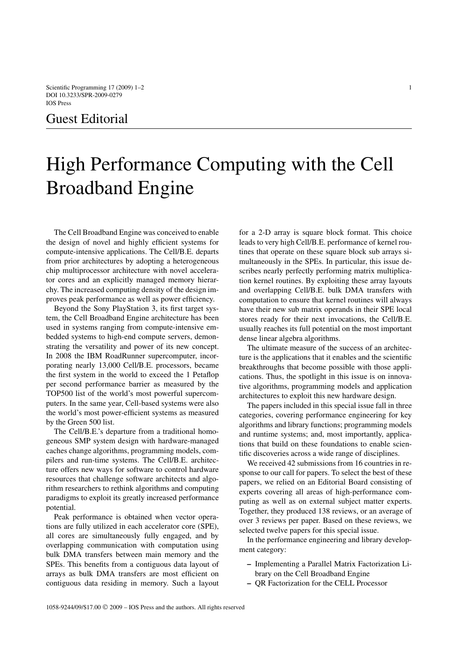## Guest Editorial

## High Performance Computing with the Cell Broadband Engine

The Cell Broadband Engine was conceived to enable the design of novel and highly efficient systems for compute-intensive applications. The Cell/B.E. departs from prior architectures by adopting a heterogeneous chip multiprocessor architecture with novel accelerator cores and an explicitly managed memory hierarchy. The increased computing density of the design improves peak performance as well as power efficiency.

Beyond the Sony PlayStation 3, its first target system, the Cell Broadband Engine architecture has been used in systems ranging from compute-intensive embedded systems to high-end compute servers, demonstrating the versatility and power of its new concept. In 2008 the IBM RoadRunner supercomputer, incorporating nearly 13,000 Cell/B.E. processors, became the first system in the world to exceed the 1 Petaflop per second performance barrier as measured by the TOP500 list of the world's most powerful supercomputers. In the same year, Cell-based systems were also the world's most power-efficient systems as measured by the Green 500 list.

The Cell/B.E.'s departure from a traditional homogeneous SMP system design with hardware-managed caches change algorithms, programming models, compilers and run-time systems. The Cell/B.E. architecture offers new ways for software to control hardware resources that challenge software architects and algorithm researchers to rethink algorithms and computing paradigms to exploit its greatly increased performance potential.

Peak performance is obtained when vector operations are fully utilized in each accelerator core (SPE), all cores are simultaneously fully engaged, and by overlapping communication with computation using bulk DMA transfers between main memory and the SPEs. This benefits from a contiguous data layout of arrays as bulk DMA transfers are most efficient on contiguous data residing in memory. Such a layout for a 2-D array is square block format. This choice leads to very high Cell/B.E. performance of kernel routines that operate on these square block sub arrays simultaneously in the SPEs. In particular, this issue describes nearly perfectly performing matrix multiplication kernel routines. By exploiting these array layouts and overlapping Cell/B.E. bulk DMA transfers with computation to ensure that kernel routines will always have their new sub matrix operands in their SPE local stores ready for their next invocations, the Cell/B.E. usually reaches its full potential on the most important dense linear algebra algorithms.

The ultimate measure of the success of an architecture is the applications that it enables and the scientific breakthroughs that become possible with those applications. Thus, the spotlight in this issue is on innovative algorithms, programming models and application architectures to exploit this new hardware design.

The papers included in this special issue fall in three categories, covering performance engineering for key algorithms and library functions; programming models and runtime systems; and, most importantly, applications that build on these foundations to enable scientific discoveries across a wide range of disciplines.

We received 42 submissions from 16 countries in response to our call for papers. To select the best of these papers, we relied on an Editorial Board consisting of experts covering all areas of high-performance computing as well as on external subject matter experts. Together, they produced 138 reviews, or an average of over 3 reviews per paper. Based on these reviews, we selected twelve papers for this special issue.

In the performance engineering and library development category:

- **–** Implementing a Parallel Matrix Factorization Library on the Cell Broadband Engine
- **–** QR Factorization for the CELL Processor